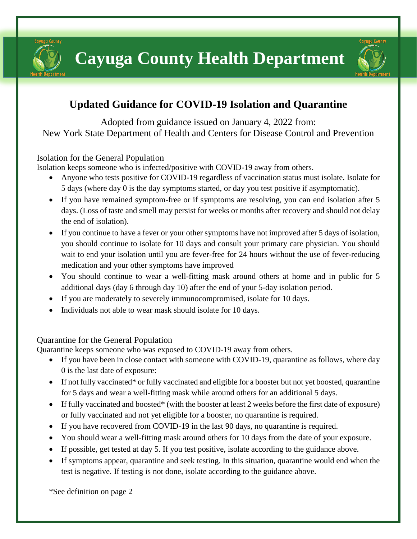Cayuga County





# **Updated Guidance for COVID-19 Isolation and Quarantine**

Adopted from guidance issued on January 4, 2022 from: New York State Department of Health and Centers for Disease Control and Prevention

# Isolation for the General Population

Isolation keeps someone who is infected/positive with COVID-19 away from others.

- Anyone who tests positive for COVID-19 regardless of vaccination status must isolate. Isolate for 5 days (where day 0 is the day symptoms started, or day you test positive if asymptomatic).
- If you have remained symptom-free or if symptoms are resolving, you can end isolation after 5 days. (Loss of taste and smell may persist for weeks or months after recovery and should not delay the end of isolation).
- If you continue to have a fever or your other symptoms have not improved after 5 days of isolation, you should continue to isolate for 10 days and consult your primary care physician. You should wait to end your isolation until you are fever-free for 24 hours without the use of fever-reducing medication and your other symptoms have improved
- You should continue to wear a well-fitting mask around others at home and in public for 5 additional days (day 6 through day 10) after the end of your 5-day isolation period.
- If you are moderately to severely immunocompromised, isolate for 10 days.
- Individuals not able to wear mask should isolate for 10 days.

#### Quarantine for the General Population

Quarantine keeps someone who was exposed to COVID-19 away from others.

- If you have been in close contact with someone with COVID-19, quarantine as follows, where day 0 is the last date of exposure:
- If not fully vaccinated\* or fully vaccinated and eligible for a booster but not yet boosted, quarantine for 5 days and wear a well-fitting mask while around others for an additional 5 days.
- If fully vaccinated and boosted\* (with the booster at least 2 weeks before the first date of exposure) or fully vaccinated and not yet eligible for a booster, no quarantine is required.
- If you have recovered from COVID-19 in the last 90 days, no quarantine is required.
- You should wear a well-fitting mask around others for 10 days from the date of your exposure.
- If possible, get tested at day 5. If you test positive, isolate according to the guidance above.
- If symptoms appear, quarantine and seek testing. In this situation, quarantine would end when the test is negative. If testing is not done, isolate according to the guidance above.

\*See definition on page 2